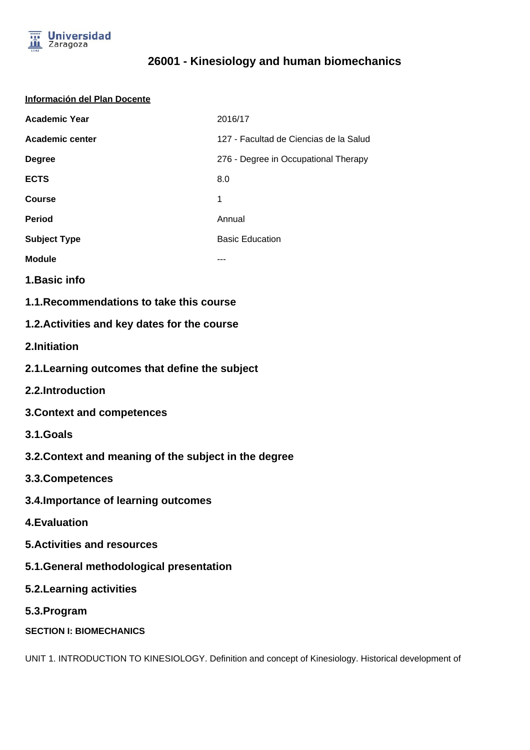

# **26001 - Kinesiology and human biomechanics**

| <b>Información del Plan Docente</b>                   |                                        |
|-------------------------------------------------------|----------------------------------------|
| <b>Academic Year</b>                                  | 2016/17                                |
| <b>Academic center</b>                                | 127 - Facultad de Ciencias de la Salud |
| <b>Degree</b>                                         | 276 - Degree in Occupational Therapy   |
| <b>ECTS</b>                                           | 8.0                                    |
| Course                                                | 1                                      |
| <b>Period</b>                                         | Annual                                 |
| <b>Subject Type</b>                                   | <b>Basic Education</b>                 |
| <b>Module</b>                                         |                                        |
| 1. Basic info                                         |                                        |
| 1.1. Recommendations to take this course              |                                        |
| 1.2. Activities and key dates for the course          |                                        |
| 2.Initiation                                          |                                        |
| 2.1. Learning outcomes that define the subject        |                                        |
| 2.2.Introduction                                      |                                        |
| <b>3. Context and competences</b>                     |                                        |
| 3.1.Goals                                             |                                        |
| 3.2. Context and meaning of the subject in the degree |                                        |
| 3.3. Competences                                      |                                        |
| 3.4. Importance of learning outcomes                  |                                        |
| <b>4.Evaluation</b>                                   |                                        |
| <b>5. Activities and resources</b>                    |                                        |
| 5.1. General methodological presentation              |                                        |
| 5.2. Learning activities                              |                                        |
| 5.3. Program                                          |                                        |
| <b>SECTION I: BIOMECHANICS</b>                        |                                        |
|                                                       |                                        |

UNIT 1. INTRODUCTION TO KINESIOLOGY. Definition and concept of Kinesiology. Historical development of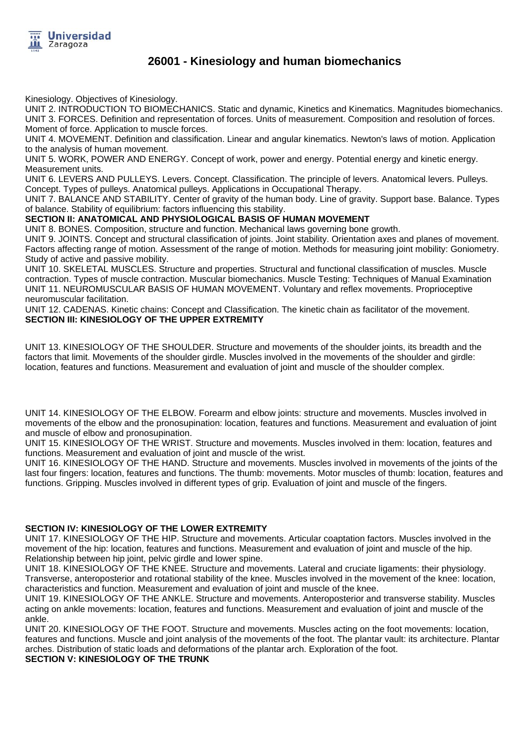

## **26001 - Kinesiology and human biomechanics**

Kinesiology. Objectives of Kinesiology.

UNIT 2. INTRODUCTION TO BIOMECHANICS. Static and dynamic, Kinetics and Kinematics. Magnitudes biomechanics. UNIT 3. FORCES. Definition and representation of forces. Units of measurement. Composition and resolution of forces. Moment of force. Application to muscle forces.

UNIT 4. MOVEMENT. Definition and classification. Linear and angular kinematics. Newton's laws of motion. Application to the analysis of human movement.

UNIT 5. WORK, POWER AND ENERGY. Concept of work, power and energy. Potential energy and kinetic energy. Measurement units.

UNIT 6. LEVERS AND PULLEYS. Levers. Concept. Classification. The principle of levers. Anatomical levers. Pulleys. Concept. Types of pulleys. Anatomical pulleys. Applications in Occupational Therapy.

UNIT 7. BALANCE AND STABILITY. Center of gravity of the human body. Line of gravity. Support base. Balance. Types of balance. Stability of equilibrium: factors influencing this stability.

#### **SECTION II: ANATOMICAL AND PHYSIOLOGICAL BASIS OF HUMAN MOVEMENT**

UNIT 8. BONES. Composition, structure and function. Mechanical laws governing bone growth.

UNIT 9. JOINTS. Concept and structural classification of joints. Joint stability. Orientation axes and planes of movement. Factors affecting range of motion. Assessment of the range of motion. Methods for measuring joint mobility: Goniometry. Study of active and passive mobility.

UNIT 10. SKELETAL MUSCLES. Structure and properties. Structural and functional classification of muscles. Muscle contraction. Types of muscle contraction. Muscular biomechanics. Muscle Testing: Techniques of Manual Examination UNIT 11. NEUROMUSCULAR BASIS OF HUMAN MOVEMENT. Voluntary and reflex movements. Proprioceptive neuromuscular facilitation.

UNIT 12. CADENAS. Kinetic chains: Concept and Classification. The kinetic chain as facilitator of the movement. **SECTION III: KINESIOLOGY OF THE UPPER EXTREMITY**

UNIT 13. KINESIOLOGY OF THE SHOULDER. Structure and movements of the shoulder joints, its breadth and the factors that limit. Movements of the shoulder girdle. Muscles involved in the movements of the shoulder and girdle: location, features and functions. Measurement and evaluation of joint and muscle of the shoulder complex.

UNIT 14. KINESIOLOGY OF THE ELBOW. Forearm and elbow joints: structure and movements. Muscles involved in movements of the elbow and the pronosupination: location, features and functions. Measurement and evaluation of joint and muscle of elbow and pronosupination.

UNIT 15. KINESIOLOGY OF THE WRIST. Structure and movements. Muscles involved in them: location, features and functions. Measurement and evaluation of joint and muscle of the wrist.

UNIT 16. KINESIOLOGY OF THE HAND. Structure and movements. Muscles involved in movements of the joints of the last four fingers: location, features and functions. The thumb: movements. Motor muscles of thumb: location, features and functions. Gripping. Muscles involved in different types of grip. Evaluation of joint and muscle of the fingers.

#### **SECTION IV: KINESIOLOGY OF THE LOWER EXTREMITY**

UNIT 17. KINESIOLOGY OF THE HIP. Structure and movements. Articular coaptation factors. Muscles involved in the movement of the hip: location, features and functions. Measurement and evaluation of joint and muscle of the hip. Relationship between hip joint, pelvic girdle and lower spine.

UNIT 18. KINESIOLOGY OF THE KNEE. Structure and movements. Lateral and cruciate ligaments: their physiology. Transverse, anteroposterior and rotational stability of the knee. Muscles involved in the movement of the knee: location, characteristics and function. Measurement and evaluation of joint and muscle of the knee.

UNIT 19. KINESIOLOGY OF THE ANKLE. Structure and movements. Anteroposterior and transverse stability. Muscles acting on ankle movements: location, features and functions. Measurement and evaluation of joint and muscle of the ankle.

UNIT 20. KINESIOLOGY OF THE FOOT. Structure and movements. Muscles acting on the foot movements: location, features and functions. Muscle and joint analysis of the movements of the foot. The plantar vault: its architecture. Plantar arches. Distribution of static loads and deformations of the plantar arch. Exploration of the foot.

**SECTION V: KINESIOLOGY OF THE TRUNK**